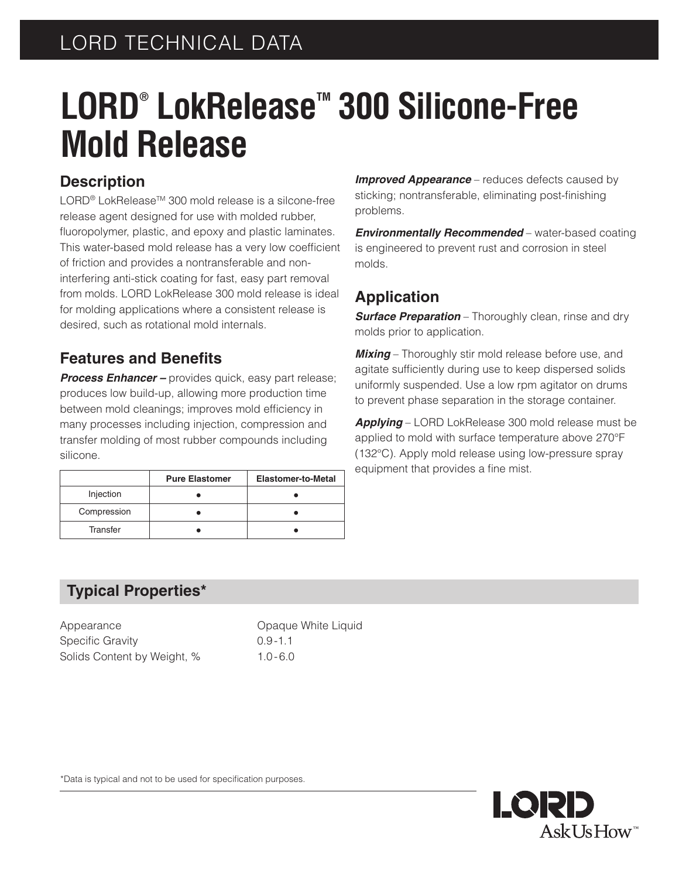# **LORD®** LokRelease<sup>™</sup> 300 Silicone-Free **Mold Release**

### **Description**

LORD<sup>®</sup> LokRelease<sup>™</sup> 300 mold release is a silcone-free release agent designed for use with molded rubber, fluoropolymer, plastic, and epoxy and plastic laminates. This water-based mold release has a very low coefficient of friction and provides a nontransferable and noninterfering anti-stick coating for fast, easy part removal from molds. LORD LokRelease 300 mold release is ideal for molding applications where a consistent release is desired, such as rotational mold internals.

#### **Features and Benefits**

*Process Enhancer –* provides quick, easy part release; produces low build-up, allowing more production time between mold cleanings; improves mold efficiency in many processes including injection, compression and transfer molding of most rubber compounds including silicone.

|             | <b>Pure Elastomer</b> | <b>Elastomer-to-Metal</b> |
|-------------|-----------------------|---------------------------|
| Injection   |                       |                           |
| Compression |                       |                           |
| Transfer    |                       |                           |

**Improved Appearance** – reduces defects caused by sticking; nontransferable, eliminating post-finishing problems.

*Environmentally Recommended* – water-based coating is engineered to prevent rust and corrosion in steel molds.

## **Application**

**Surface Preparation** – Thoroughly clean, rinse and dry molds prior to application.

**Mixing** – Thoroughly stir mold release before use, and agitate sufficiently during use to keep dispersed solids uniformly suspended. Use a low rpm agitator on drums to prevent phase separation in the storage container.

*Applying* – LORD LokRelease 300 mold release must be applied to mold with surface temperature above 270°F (132°C). Apply mold release using low-pressure spray equipment that provides a fine mist.

## **Typical Properties\***

Appearance **Conserversity** Opaque White Liquid Specific Gravity 0.9-1.1 Solids Content by Weight, % 1.0-6.0